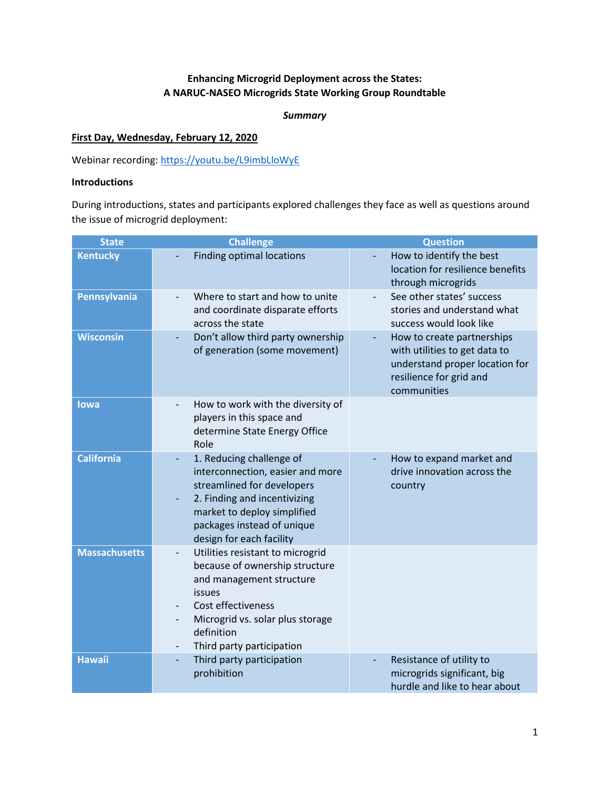# **Enhancing Microgrid Deployment across the States: A NARUC-NASEO Microgrids State Working Group Roundtable**

#### *Summary*

# **First Day, Wednesday, February 12, 2020**

Webinar recording:<https://youtu.be/L9imbLloWyE>

# **Introductions**

During introductions, states and participants explored challenges they face as well as questions around the issue of microgrid deployment:

| <b>State</b>         | <b>Challenge</b>                                                                                                                                                                                                                          | <b>Question</b>                                                                                                                               |
|----------------------|-------------------------------------------------------------------------------------------------------------------------------------------------------------------------------------------------------------------------------------------|-----------------------------------------------------------------------------------------------------------------------------------------------|
| <b>Kentucky</b>      | <b>Finding optimal locations</b>                                                                                                                                                                                                          | How to identify the best<br>location for resilience benefits<br>through microgrids                                                            |
| Pennsylvania         | Where to start and how to unite<br>and coordinate disparate efforts<br>across the state                                                                                                                                                   | See other states' success<br>$\overline{\phantom{0}}$<br>stories and understand what<br>success would look like                               |
| <b>Wisconsin</b>     | Don't allow third party ownership<br>of generation (some movement)                                                                                                                                                                        | How to create partnerships<br>÷,<br>with utilities to get data to<br>understand proper location for<br>resilience for grid and<br>communities |
| lowa                 | How to work with the diversity of<br>players in this space and<br>determine State Energy Office<br>Role                                                                                                                                   |                                                                                                                                               |
| <b>California</b>    | 1. Reducing challenge of<br>٠<br>interconnection, easier and more<br>streamlined for developers<br>2. Finding and incentivizing<br>market to deploy simplified<br>packages instead of unique<br>design for each facility                  | How to expand market and<br>drive innovation across the<br>country                                                                            |
| <b>Massachusetts</b> | Utilities resistant to microgrid<br>$\overline{\phantom{0}}$<br>because of ownership structure<br>and management structure<br>issues<br>Cost effectiveness<br>Microgrid vs. solar plus storage<br>definition<br>Third party participation |                                                                                                                                               |
| <b>Hawaii</b>        | Third party participation<br>prohibition                                                                                                                                                                                                  | Resistance of utility to<br>microgrids significant, big<br>hurdle and like to hear about                                                      |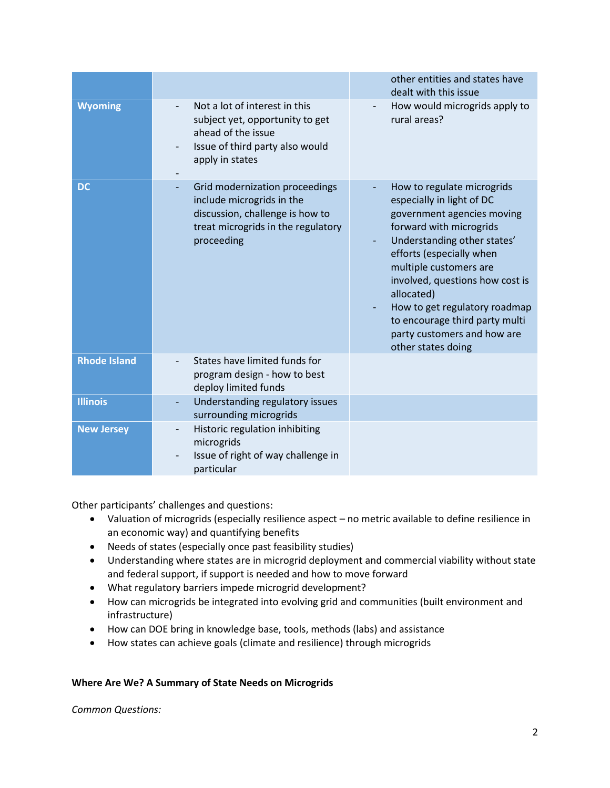|                     |                                                                                                                                                                              | other entities and states have<br>dealt with this issue                                                                                                                                                                                                                                                                                                                        |
|---------------------|------------------------------------------------------------------------------------------------------------------------------------------------------------------------------|--------------------------------------------------------------------------------------------------------------------------------------------------------------------------------------------------------------------------------------------------------------------------------------------------------------------------------------------------------------------------------|
| <b>Wyoming</b>      | Not a lot of interest in this<br>subject yet, opportunity to get<br>ahead of the issue<br>Issue of third party also would<br>$\qquad \qquad \blacksquare$<br>apply in states | How would microgrids apply to<br>rural areas?                                                                                                                                                                                                                                                                                                                                  |
| <b>DC</b>           | Grid modernization proceedings<br>include microgrids in the<br>discussion, challenge is how to<br>treat microgrids in the regulatory<br>proceeding                           | How to regulate microgrids<br>especially in light of DC<br>government agencies moving<br>forward with microgrids<br>Understanding other states'<br>efforts (especially when<br>multiple customers are<br>involved, questions how cost is<br>allocated)<br>How to get regulatory roadmap<br>to encourage third party multi<br>party customers and how are<br>other states doing |
| <b>Rhode Island</b> | States have limited funds for<br>program design - how to best<br>deploy limited funds                                                                                        |                                                                                                                                                                                                                                                                                                                                                                                |
| <b>Illinois</b>     | Understanding regulatory issues<br>surrounding microgrids                                                                                                                    |                                                                                                                                                                                                                                                                                                                                                                                |
| <b>New Jersey</b>   | Historic regulation inhibiting<br>microgrids<br>Issue of right of way challenge in<br>particular                                                                             |                                                                                                                                                                                                                                                                                                                                                                                |

Other participants' challenges and questions:

- Valuation of microgrids (especially resilience aspect no metric available to define resilience in an economic way) and quantifying benefits
- Needs of states (especially once past feasibility studies)
- Understanding where states are in microgrid deployment and commercial viability without state and federal support, if support is needed and how to move forward
- What regulatory barriers impede microgrid development?
- How can microgrids be integrated into evolving grid and communities (built environment and infrastructure)
- How can DOE bring in knowledge base, tools, methods (labs) and assistance
- How states can achieve goals (climate and resilience) through microgrids

# **Where Are We? A Summary of State Needs on Microgrids**

*Common Questions:*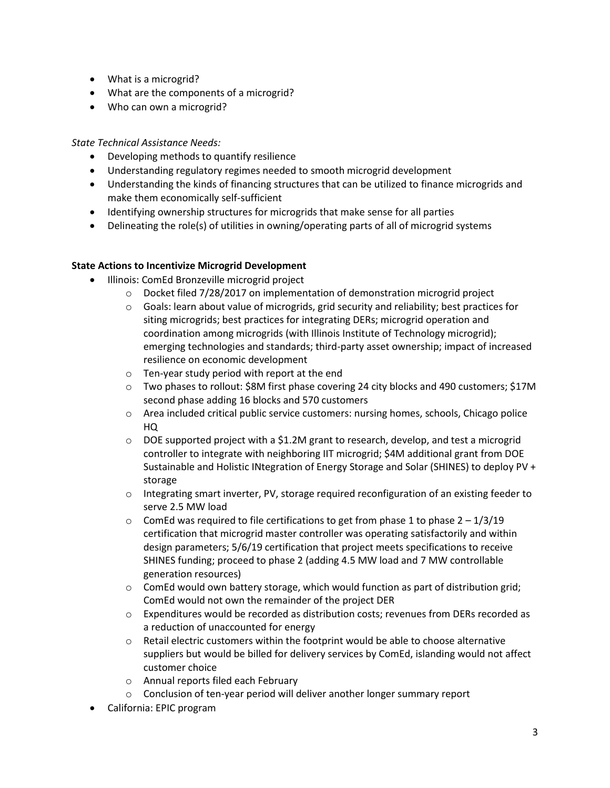- What is a microgrid?
- What are the components of a microgrid?
- Who can own a microgrid?

# *State Technical Assistance Needs:*

- Developing methods to quantify resilience
- Understanding regulatory regimes needed to smooth microgrid development
- Understanding the kinds of financing structures that can be utilized to finance microgrids and make them economically self-sufficient
- Identifying ownership structures for microgrids that make sense for all parties
- Delineating the role(s) of utilities in owning/operating parts of all of microgrid systems

# **State Actions to Incentivize Microgrid Development**

- Illinois: ComEd Bronzeville microgrid project
	- $\circ$  Docket filed 7/28/2017 on implementation of demonstration microgrid project
	- $\circ$  Goals: learn about value of microgrids, grid security and reliability; best practices for siting microgrids; best practices for integrating DERs; microgrid operation and coordination among microgrids (with Illinois Institute of Technology microgrid); emerging technologies and standards; third-party asset ownership; impact of increased resilience on economic development
	- o Ten-year study period with report at the end
	- o Two phases to rollout: \$8M first phase covering 24 city blocks and 490 customers; \$17M second phase adding 16 blocks and 570 customers
	- o Area included critical public service customers: nursing homes, schools, Chicago police HQ
	- $\circ$  DOE supported project with a \$1.2M grant to research, develop, and test a microgrid controller to integrate with neighboring IIT microgrid; \$4M additional grant from DOE Sustainable and Holistic INtegration of Energy Storage and Solar (SHINES) to deploy PV + storage
	- $\circ$  Integrating smart inverter, PV, storage required reconfiguration of an existing feeder to serve 2.5 MW load
	- $\circ$  ComEd was required to file certifications to get from phase 1 to phase 2 1/3/19 certification that microgrid master controller was operating satisfactorily and within design parameters; 5/6/19 certification that project meets specifications to receive SHINES funding; proceed to phase 2 (adding 4.5 MW load and 7 MW controllable generation resources)
	- $\circ$  ComEd would own battery storage, which would function as part of distribution grid; ComEd would not own the remainder of the project DER
	- o Expenditures would be recorded as distribution costs; revenues from DERs recorded as a reduction of unaccounted for energy
	- $\circ$  Retail electric customers within the footprint would be able to choose alternative suppliers but would be billed for delivery services by ComEd, islanding would not affect customer choice
	- o Annual reports filed each February
	- o Conclusion of ten-year period will deliver another longer summary report
- California: EPIC program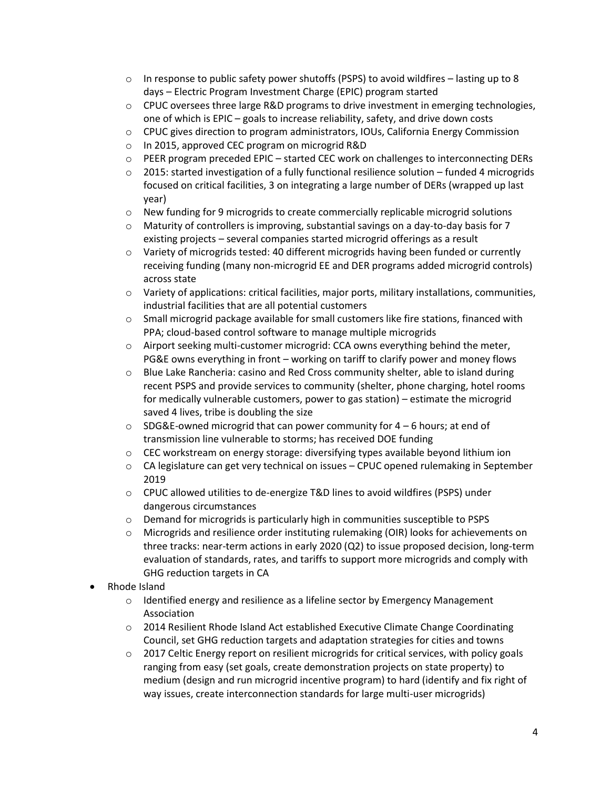- $\circ$  In response to public safety power shutoffs (PSPS) to avoid wildfires lasting up to 8 days – Electric Program Investment Charge (EPIC) program started
- $\circ$  CPUC oversees three large R&D programs to drive investment in emerging technologies, one of which is EPIC – goals to increase reliability, safety, and drive down costs
- o CPUC gives direction to program administrators, IOUs, California Energy Commission
- o In 2015, approved CEC program on microgrid R&D
- $\circ$  PEER program preceded EPIC started CEC work on challenges to interconnecting DERs
- $\circ$  2015: started investigation of a fully functional resilience solution funded 4 microgrids focused on critical facilities, 3 on integrating a large number of DERs (wrapped up last year)
- $\circ$  New funding for 9 microgrids to create commercially replicable microgrid solutions
- $\circ$  Maturity of controllers is improving, substantial savings on a day-to-day basis for 7 existing projects – several companies started microgrid offerings as a result
- $\circ$  Variety of microgrids tested: 40 different microgrids having been funded or currently receiving funding (many non-microgrid EE and DER programs added microgrid controls) across state
- $\circ$  Variety of applications: critical facilities, major ports, military installations, communities, industrial facilities that are all potential customers
- $\circ$  Small microgrid package available for small customers like fire stations, financed with PPA; cloud-based control software to manage multiple microgrids
- $\circ$  Airport seeking multi-customer microgrid: CCA owns everything behind the meter, PG&E owns everything in front – working on tariff to clarify power and money flows
- $\circ$  Blue Lake Rancheria: casino and Red Cross community shelter, able to island during recent PSPS and provide services to community (shelter, phone charging, hotel rooms for medically vulnerable customers, power to gas station) – estimate the microgrid saved 4 lives, tribe is doubling the size
- $\circ$  SDG&E-owned microgrid that can power community for 4 6 hours; at end of transmission line vulnerable to storms; has received DOE funding
- $\circ$  CEC workstream on energy storage: diversifying types available beyond lithium ion
- $\circ$  CA legislature can get very technical on issues CPUC opened rulemaking in September 2019
- o CPUC allowed utilities to de-energize T&D lines to avoid wildfires (PSPS) under dangerous circumstances
- o Demand for microgrids is particularly high in communities susceptible to PSPS
- o Microgrids and resilience order instituting rulemaking (OIR) looks for achievements on three tracks: near-term actions in early 2020 (Q2) to issue proposed decision, long-term evaluation of standards, rates, and tariffs to support more microgrids and comply with GHG reduction targets in CA
- Rhode Island
	- $\circ$  Identified energy and resilience as a lifeline sector by Emergency Management Association
	- o 2014 Resilient Rhode Island Act established Executive Climate Change Coordinating Council, set GHG reduction targets and adaptation strategies for cities and towns
	- $\circ$  2017 Celtic Energy report on resilient microgrids for critical services, with policy goals ranging from easy (set goals, create demonstration projects on state property) to medium (design and run microgrid incentive program) to hard (identify and fix right of way issues, create interconnection standards for large multi-user microgrids)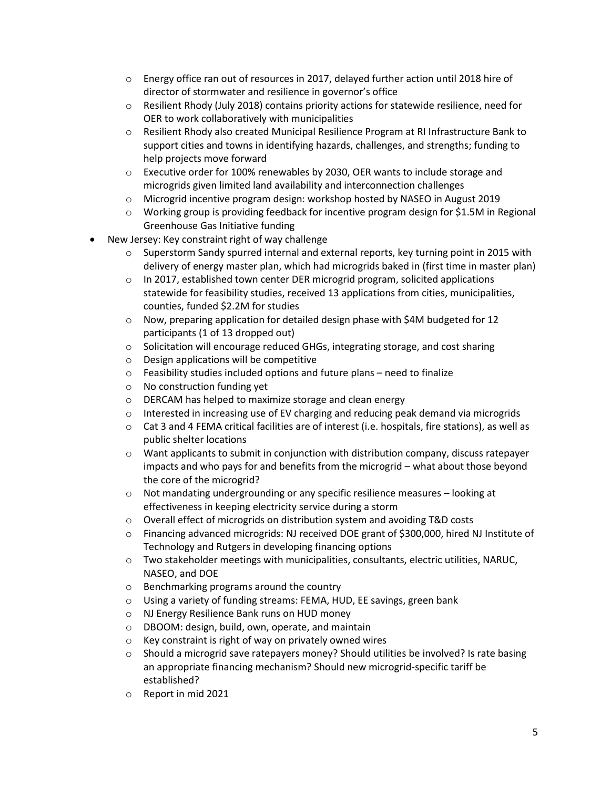- $\circ$  Energy office ran out of resources in 2017, delayed further action until 2018 hire of director of stormwater and resilience in governor's office
- $\circ$  Resilient Rhody (July 2018) contains priority actions for statewide resilience, need for OER to work collaboratively with municipalities
- o Resilient Rhody also created Municipal Resilience Program at RI Infrastructure Bank to support cities and towns in identifying hazards, challenges, and strengths; funding to help projects move forward
- o Executive order for 100% renewables by 2030, OER wants to include storage and microgrids given limited land availability and interconnection challenges
- o Microgrid incentive program design: workshop hosted by NASEO in August 2019
- o Working group is providing feedback for incentive program design for \$1.5M in Regional Greenhouse Gas Initiative funding
- New Jersey: Key constraint right of way challenge
	- $\circ$  Superstorm Sandy spurred internal and external reports, key turning point in 2015 with delivery of energy master plan, which had microgrids baked in (first time in master plan)
	- o In 2017, established town center DER microgrid program, solicited applications statewide for feasibility studies, received 13 applications from cities, municipalities, counties, funded \$2.2M for studies
	- $\circ$  Now, preparing application for detailed design phase with \$4M budgeted for 12 participants (1 of 13 dropped out)
	- $\circ$  Solicitation will encourage reduced GHGs, integrating storage, and cost sharing
	- o Design applications will be competitive
	- o Feasibility studies included options and future plans need to finalize
	- o No construction funding yet
	- o DERCAM has helped to maximize storage and clean energy
	- $\circ$  Interested in increasing use of EV charging and reducing peak demand via microgrids
	- $\circ$  Cat 3 and 4 FEMA critical facilities are of interest (i.e. hospitals, fire stations), as well as public shelter locations
	- $\circ$  Want applicants to submit in conjunction with distribution company, discuss ratepayer impacts and who pays for and benefits from the microgrid – what about those beyond the core of the microgrid?
	- $\circ$  Not mandating undergrounding or any specific resilience measures looking at effectiveness in keeping electricity service during a storm
	- $\circ$  Overall effect of microgrids on distribution system and avoiding T&D costs
	- o Financing advanced microgrids: NJ received DOE grant of \$300,000, hired NJ Institute of Technology and Rutgers in developing financing options
	- $\circ$  Two stakeholder meetings with municipalities, consultants, electric utilities, NARUC, NASEO, and DOE
	- o Benchmarking programs around the country
	- o Using a variety of funding streams: FEMA, HUD, EE savings, green bank
	- o NJ Energy Resilience Bank runs on HUD money
	- o DBOOM: design, build, own, operate, and maintain
	- o Key constraint is right of way on privately owned wires
	- $\circ$  Should a microgrid save ratepayers money? Should utilities be involved? Is rate basing an appropriate financing mechanism? Should new microgrid-specific tariff be established?
	- o Report in mid 2021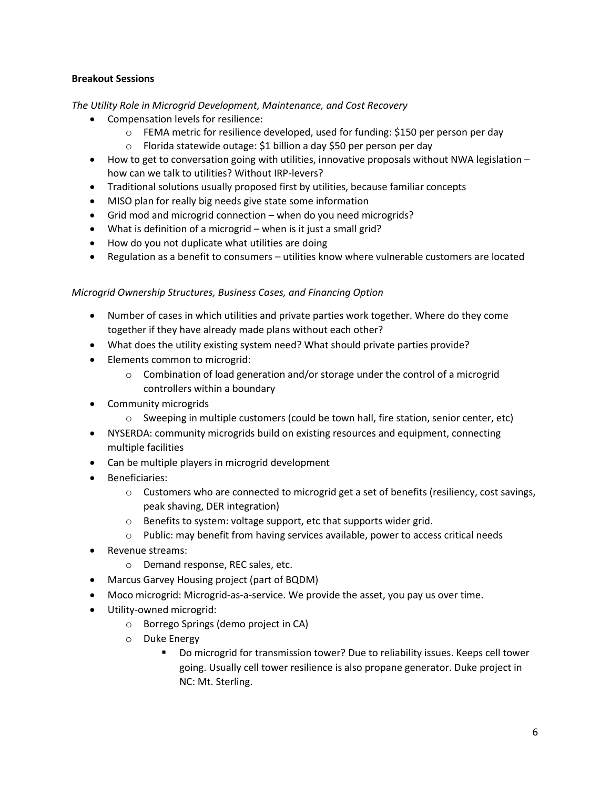# **Breakout Sessions**

*The Utility Role in Microgrid Development, Maintenance, and Cost Recovery*

- Compensation levels for resilience:
	- $\circ$  FEMA metric for resilience developed, used for funding: \$150 per person per day
	- o Florida statewide outage: \$1 billion a day \$50 per person per day
- How to get to conversation going with utilities, innovative proposals without NWA legislation how can we talk to utilities? Without IRP-levers?
- Traditional solutions usually proposed first by utilities, because familiar concepts
- MISO plan for really big needs give state some information
- Grid mod and microgrid connection when do you need microgrids?
- What is definition of a microgrid when is it just a small grid?
- How do you not duplicate what utilities are doing
- Regulation as a benefit to consumers utilities know where vulnerable customers are located

# *Microgrid Ownership Structures, Business Cases, and Financing Option*

- Number of cases in which utilities and private parties work together. Where do they come together if they have already made plans without each other?
- What does the utility existing system need? What should private parties provide?
- Elements common to microgrid:
	- $\circ$  Combination of load generation and/or storage under the control of a microgrid controllers within a boundary
- Community microgrids
	- o Sweeping in multiple customers (could be town hall, fire station, senior center, etc)
- NYSERDA: community microgrids build on existing resources and equipment, connecting multiple facilities
- Can be multiple players in microgrid development
- Beneficiaries:
	- $\circ$  Customers who are connected to microgrid get a set of benefits (resiliency, cost savings, peak shaving, DER integration)
	- o Benefits to system: voltage support, etc that supports wider grid.
	- $\circ$  Public: may benefit from having services available, power to access critical needs
- Revenue streams:
	- o Demand response, REC sales, etc.
- Marcus Garvey Housing project (part of BQDM)
- Moco microgrid: Microgrid-as-a-service. We provide the asset, you pay us over time.
- Utility-owned microgrid:
	- o Borrego Springs (demo project in CA)
	- o Duke Energy
		- Do microgrid for transmission tower? Due to reliability issues. Keeps cell tower going. Usually cell tower resilience is also propane generator. Duke project in NC: Mt. Sterling.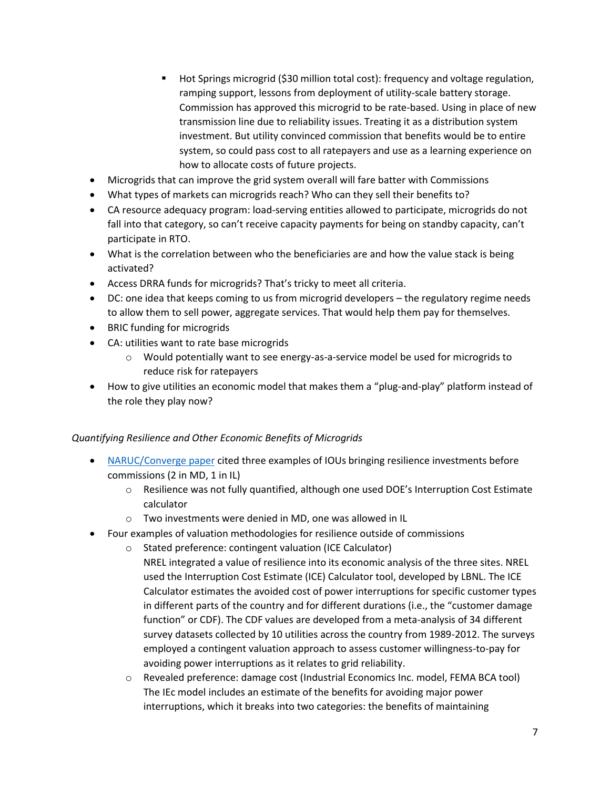- Hot Springs microgrid (\$30 million total cost): frequency and voltage regulation, ramping support, lessons from deployment of utility-scale battery storage. Commission has approved this microgrid to be rate-based. Using in place of new transmission line due to reliability issues. Treating it as a distribution system investment. But utility convinced commission that benefits would be to entire system, so could pass cost to all ratepayers and use as a learning experience on how to allocate costs of future projects.
- Microgrids that can improve the grid system overall will fare batter with Commissions
- What types of markets can microgrids reach? Who can they sell their benefits to?
- CA resource adequacy program: load-serving entities allowed to participate, microgrids do not fall into that category, so can't receive capacity payments for being on standby capacity, can't participate in RTO.
- What is the correlation between who the beneficiaries are and how the value stack is being activated?
- Access DRRA funds for microgrids? That's tricky to meet all criteria.
- DC: one idea that keeps coming to us from microgrid developers the regulatory regime needs to allow them to sell power, aggregate services. That would help them pay for themselves.
- BRIC funding for microgrids
- CA: utilities want to rate base microgrids
	- $\circ$  Would potentially want to see energy-as-a-service model be used for microgrids to reduce risk for ratepayers
- How to give utilities an economic model that makes them a "plug-and-play" platform instead of the role they play now?

# *Quantifying Resilience and Other Economic Benefits of Microgrids*

- [NARUC/Converge paper](https://pubs.naruc.org/pub/531AD059-9CC0-BAF6-127B-99BCB5F02198) cited three examples of IOUs bringing resilience investments before commissions (2 in MD, 1 in IL)
	- o Resilience was not fully quantified, although one used DOE's Interruption Cost Estimate calculator
	- o Two investments were denied in MD, one was allowed in IL
- Four examples of valuation methodologies for resilience outside of commissions
	- o Stated preference: contingent valuation (ICE Calculator) NREL integrated a value of resilience into its economic analysis of the three sites. NREL used the Interruption Cost Estimate (ICE) Calculator tool, developed by LBNL. The ICE Calculator estimates the avoided cost of power interruptions for specific customer types in different parts of the country and for different durations (i.e., the "customer damage function" or CDF). The CDF values are developed from a meta-analysis of 34 different survey datasets collected by 10 utilities across the country from 1989-2012. The surveys employed a contingent valuation approach to assess customer willingness-to-pay for avoiding power interruptions as it relates to grid reliability.
	- o Revealed preference: damage cost (Industrial Economics Inc. model, FEMA BCA tool) The IEc model includes an estimate of the benefits for avoiding major power interruptions, which it breaks into two categories: the benefits of maintaining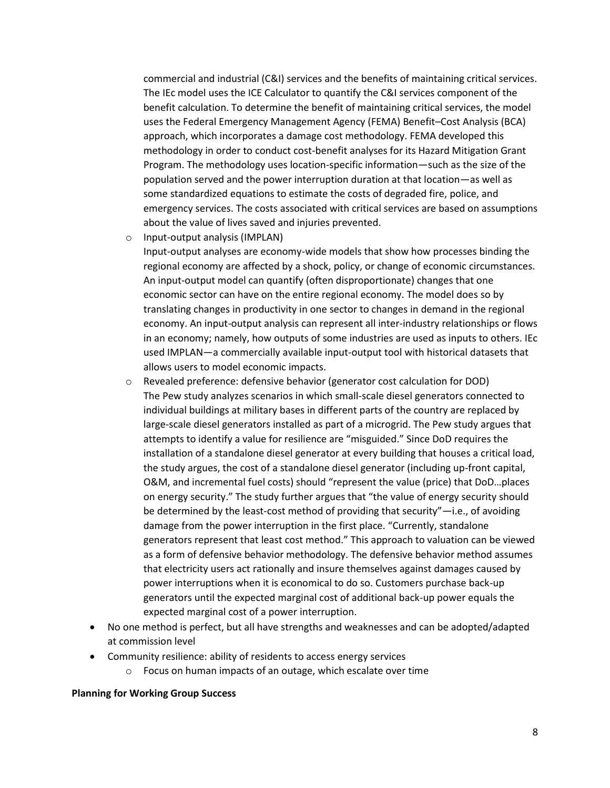commercial and industrial (C&I) services and the benefits of maintaining critical services. The IEc model uses the ICE Calculator to quantify the C&I services component of the benefit calculation. To determine the benefit of maintaining critical services, the model uses the Federal Emergency Management Agency (FEMA) Benefit–Cost Analysis (BCA) approach, which incorporates a damage cost methodology. FEMA developed this methodology in order to conduct cost-benefit analyses for its Hazard Mitigation Grant Program. The methodology uses location-specific information—such as the size of the population served and the power interruption duration at that location—as well as some standardized equations to estimate the costs of degraded fire, police, and emergency services. The costs associated with critical services are based on assumptions about the value of lives saved and injuries prevented.

o Input-output analysis (IMPLAN)

Input-output analyses are economy-wide models that show how processes binding the regional economy are affected by a shock, policy, or change of economic circumstances. An input-output model can quantify (often disproportionate) changes that one economic sector can have on the entire regional economy. The model does so by translating changes in productivity in one sector to changes in demand in the regional economy. An input-output analysis can represent all inter-industry relationships or flows in an economy; namely, how outputs of some industries are used as inputs to others. IEc used IMPLAN—a commercially available input-output tool with historical datasets that allows users to model economic impacts.

- o Revealed preference: defensive behavior (generator cost calculation for DOD) The Pew study analyzes scenarios in which small-scale diesel generators connected to individual buildings at military bases in different parts of the country are replaced by large-scale diesel generators installed as part of a microgrid. The Pew study argues that attempts to identify a value for resilience are "misguided." Since DoD requires the installation of a standalone diesel generator at every building that houses a critical load, the study argues, the cost of a standalone diesel generator (including up-front capital, O&M, and incremental fuel costs) should "represent the value (price) that DoD…places on energy security." The study further argues that "the value of energy security should be determined by the least-cost method of providing that security"—i.e., of avoiding damage from the power interruption in the first place. "Currently, standalone generators represent that least cost method." This approach to valuation can be viewed as a form of defensive behavior methodology. The defensive behavior method assumes that electricity users act rationally and insure themselves against damages caused by power interruptions when it is economical to do so. Customers purchase back-up generators until the expected marginal cost of additional back-up power equals the expected marginal cost of a power interruption.
- No one method is perfect, but all have strengths and weaknesses and can be adopted/adapted at commission level
- Community resilience: ability of residents to access energy services
	- o Focus on human impacts of an outage, which escalate over time

#### **Planning for Working Group Success**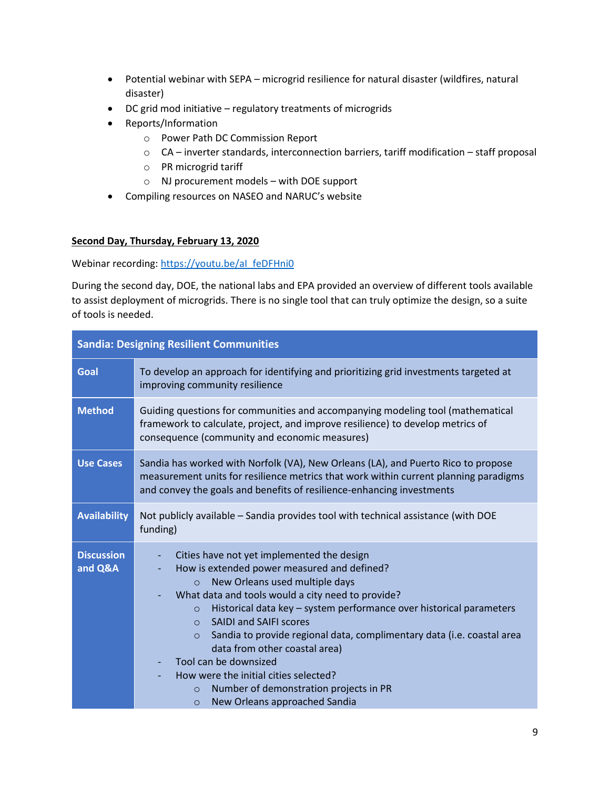- Potential webinar with SEPA microgrid resilience for natural disaster (wildfires, natural disaster)
- DC grid mod initiative regulatory treatments of microgrids
- Reports/Information
	- o Power Path DC Commission Report
	- o CA inverter standards, interconnection barriers, tariff modification staff proposal
	- o PR microgrid tariff
	- o NJ procurement models with DOE support
- Compiling resources on NASEO and NARUC's website

# **Second Day, Thursday, February 13, 2020**

Webinar recording: https://youtu.be/al\_feDFHni0

During the second day, DOE, the national labs and EPA provided an overview of different tools available to assist deployment of microgrids. There is no single tool that can truly optimize the design, so a suite of tools is needed.

| <b>Sandia: Designing Resilient Communities</b> |                                                                                                                                                                                                                                                                                                                                                                                                                                                                                                                                                                                                                     |
|------------------------------------------------|---------------------------------------------------------------------------------------------------------------------------------------------------------------------------------------------------------------------------------------------------------------------------------------------------------------------------------------------------------------------------------------------------------------------------------------------------------------------------------------------------------------------------------------------------------------------------------------------------------------------|
| Goal                                           | To develop an approach for identifying and prioritizing grid investments targeted at<br>improving community resilience                                                                                                                                                                                                                                                                                                                                                                                                                                                                                              |
| <b>Method</b>                                  | Guiding questions for communities and accompanying modeling tool (mathematical<br>framework to calculate, project, and improve resilience) to develop metrics of<br>consequence (community and economic measures)                                                                                                                                                                                                                                                                                                                                                                                                   |
| <b>Use Cases</b>                               | Sandia has worked with Norfolk (VA), New Orleans (LA), and Puerto Rico to propose<br>measurement units for resilience metrics that work within current planning paradigms<br>and convey the goals and benefits of resilience-enhancing investments                                                                                                                                                                                                                                                                                                                                                                  |
| <b>Availability</b>                            | Not publicly available – Sandia provides tool with technical assistance (with DOE<br>funding)                                                                                                                                                                                                                                                                                                                                                                                                                                                                                                                       |
| <b>Discussion</b><br>and Q&A                   | Cities have not yet implemented the design<br>How is extended power measured and defined?<br>New Orleans used multiple days<br>$\circ$<br>What data and tools would a city need to provide?<br>Historical data key - system performance over historical parameters<br>$\circ$<br><b>SAIDI and SAIFI scores</b><br>$\Omega$<br>Sandia to provide regional data, complimentary data (i.e. coastal area<br>$\circ$<br>data from other coastal area)<br>Tool can be downsized<br>How were the initial cities selected?<br>Number of demonstration projects in PR<br>$\circ$<br>New Orleans approached Sandia<br>$\circ$ |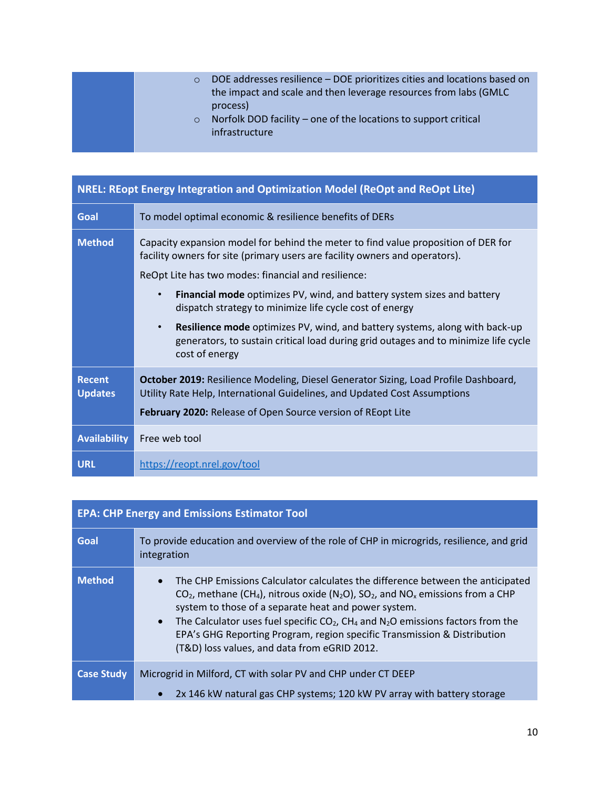| $\circ$<br>$\circ$ | DOE addresses resilience - DOE prioritizes cities and locations based on<br>the impact and scale and then leverage resources from labs (GMLC)<br>process)<br>Norfolk DOD facility – one of the locations to support critical<br>infrastructure |
|--------------------|------------------------------------------------------------------------------------------------------------------------------------------------------------------------------------------------------------------------------------------------|
|--------------------|------------------------------------------------------------------------------------------------------------------------------------------------------------------------------------------------------------------------------------------------|

| <b>NREL: REopt Energy Integration and Optimization Model (ReOpt and ReOpt Lite)</b> |                                                                                                                                                                                                                                                                                                                                                                                                                                                                                                                                                                                                |
|-------------------------------------------------------------------------------------|------------------------------------------------------------------------------------------------------------------------------------------------------------------------------------------------------------------------------------------------------------------------------------------------------------------------------------------------------------------------------------------------------------------------------------------------------------------------------------------------------------------------------------------------------------------------------------------------|
| Goal                                                                                | To model optimal economic & resilience benefits of DERs                                                                                                                                                                                                                                                                                                                                                                                                                                                                                                                                        |
| <b>Method</b>                                                                       | Capacity expansion model for behind the meter to find value proposition of DER for<br>facility owners for site (primary users are facility owners and operators).<br>ReOpt Lite has two modes: financial and resilience:<br><b>Financial mode</b> optimizes PV, wind, and battery system sizes and battery<br>$\bullet$<br>dispatch strategy to minimize life cycle cost of energy<br><b>Resilience mode</b> optimizes PV, wind, and battery systems, along with back-up<br>$\bullet$<br>generators, to sustain critical load during grid outages and to minimize life cycle<br>cost of energy |
| <b>Recent</b><br><b>Updates</b>                                                     | October 2019: Resilience Modeling, Diesel Generator Sizing, Load Profile Dashboard,<br>Utility Rate Help, International Guidelines, and Updated Cost Assumptions<br>February 2020: Release of Open Source version of REopt Lite                                                                                                                                                                                                                                                                                                                                                                |
| <b>Availability</b>                                                                 | Free web tool                                                                                                                                                                                                                                                                                                                                                                                                                                                                                                                                                                                  |
| <b>URL</b>                                                                          | https://reopt.nrel.gov/tool                                                                                                                                                                                                                                                                                                                                                                                                                                                                                                                                                                    |

# **EPA: CHP Energy and Emissions Estimator Tool**

| Goal              | To provide education and overview of the role of CHP in microgrids, resilience, and grid<br>integration                                                                                                                                                                                                                                                                                                                                                                                                                                       |
|-------------------|-----------------------------------------------------------------------------------------------------------------------------------------------------------------------------------------------------------------------------------------------------------------------------------------------------------------------------------------------------------------------------------------------------------------------------------------------------------------------------------------------------------------------------------------------|
| <b>Method</b>     | The CHP Emissions Calculator calculates the difference between the anticipated<br>$\bullet$<br>$CO2$ , methane (CH <sub>4</sub> ), nitrous oxide (N <sub>2</sub> O), SO <sub>2</sub> , and NO <sub>x</sub> emissions from a CHP<br>system to those of a separate heat and power system.<br>The Calculator uses fuel specific $CO2$ , CH <sub>4</sub> and N <sub>2</sub> O emissions factors from the<br>$\bullet$<br>EPA's GHG Reporting Program, region specific Transmission & Distribution<br>(T&D) loss values, and data from eGRID 2012. |
| <b>Case Study</b> | Microgrid in Milford, CT with solar PV and CHP under CT DEEP                                                                                                                                                                                                                                                                                                                                                                                                                                                                                  |
|                   | 2x 146 kW natural gas CHP systems; 120 kW PV array with battery storage<br>$\bullet$                                                                                                                                                                                                                                                                                                                                                                                                                                                          |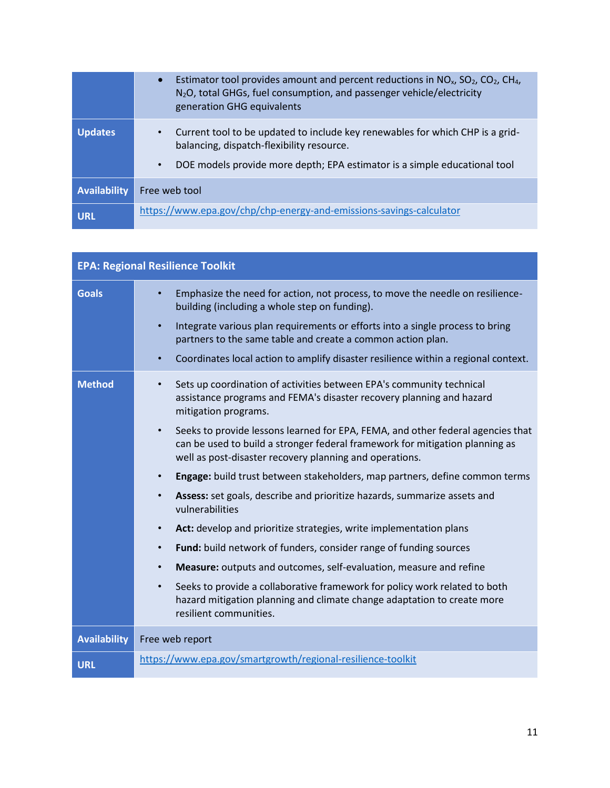|              | Estimator tool provides amount and percent reductions in $NOx$ , $SO2$ , $CO2$ , CH <sub>4</sub> ,<br>N <sub>2</sub> O, total GHGs, fuel consumption, and passenger vehicle/electricity<br>generation GHG equivalents |
|--------------|-----------------------------------------------------------------------------------------------------------------------------------------------------------------------------------------------------------------------|
| Updates      | Current tool to be updated to include key renewables for which CHP is a grid-<br>balancing, dispatch-flexibility resource.<br>DOE models provide more depth; EPA estimator is a simple educational tool<br>$\bullet$  |
| Availability | Free web tool                                                                                                                                                                                                         |
| <b>URL</b>   | https://www.epa.gov/chp/chp-energy-and-emissions-savings-calculator                                                                                                                                                   |

| <b>EPA: Regional Resilience Toolkit</b> |                                                                                                                                                                                                                                         |
|-----------------------------------------|-----------------------------------------------------------------------------------------------------------------------------------------------------------------------------------------------------------------------------------------|
| <b>Goals</b>                            | Emphasize the need for action, not process, to move the needle on resilience-<br>building (including a whole step on funding).                                                                                                          |
|                                         | Integrate various plan requirements or efforts into a single process to bring<br>$\bullet$<br>partners to the same table and create a common action plan.                                                                               |
|                                         | Coordinates local action to amplify disaster resilience within a regional context.<br>$\bullet$                                                                                                                                         |
| <b>Method</b>                           | Sets up coordination of activities between EPA's community technical<br>$\bullet$<br>assistance programs and FEMA's disaster recovery planning and hazard<br>mitigation programs.                                                       |
|                                         | Seeks to provide lessons learned for EPA, FEMA, and other federal agencies that<br>$\bullet$<br>can be used to build a stronger federal framework for mitigation planning as<br>well as post-disaster recovery planning and operations. |
|                                         | Engage: build trust between stakeholders, map partners, define common terms<br>$\bullet$                                                                                                                                                |
|                                         | Assess: set goals, describe and prioritize hazards, summarize assets and<br>$\bullet$<br>vulnerabilities                                                                                                                                |
|                                         | Act: develop and prioritize strategies, write implementation plans<br>$\bullet$                                                                                                                                                         |
|                                         | Fund: build network of funders, consider range of funding sources<br>$\bullet$                                                                                                                                                          |
|                                         | Measure: outputs and outcomes, self-evaluation, measure and refine<br>$\bullet$                                                                                                                                                         |
|                                         | Seeks to provide a collaborative framework for policy work related to both<br>$\bullet$<br>hazard mitigation planning and climate change adaptation to create more<br>resilient communities.                                            |
| <b>Availability</b>                     | Free web report                                                                                                                                                                                                                         |
| <b>URL</b>                              | https://www.epa.gov/smartgrowth/regional-resilience-toolkit                                                                                                                                                                             |